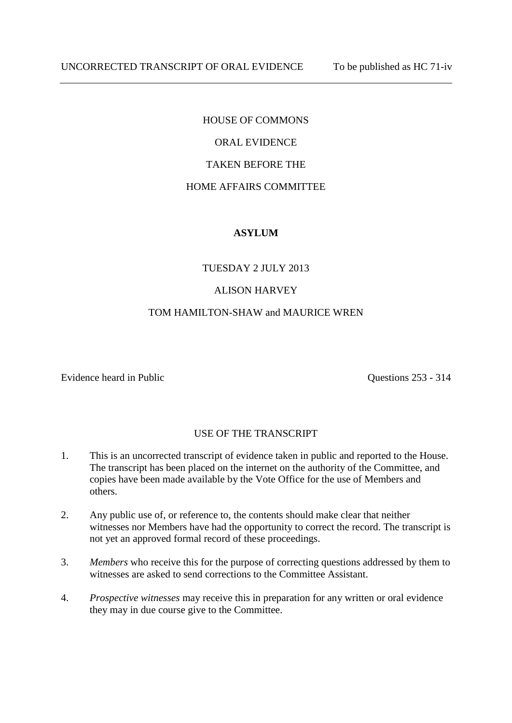# HOUSE OF COMMONS

# ORAL EVIDENCE

## TAKEN BEFORE THE

#### HOME AFFAIRS COMMITTEE

### **ASYLUM**

### TUESDAY 2 JULY 2013

### ALISON HARVEY

#### TOM HAMILTON-SHAW and MAURICE WREN

Evidence heard in Public Questions 253 - 314

#### USE OF THE TRANSCRIPT

- 1. This is an uncorrected transcript of evidence taken in public and reported to the House. The transcript has been placed on the internet on the authority of the Committee, and copies have been made available by the Vote Office for the use of Members and others.
- 2. Any public use of, or reference to, the contents should make clear that neither witnesses nor Members have had the opportunity to correct the record. The transcript is not yet an approved formal record of these proceedings.
- 3. *Members* who receive this for the purpose of correcting questions addressed by them to witnesses are asked to send corrections to the Committee Assistant.
- 4. *Prospective witnesses* may receive this in preparation for any written or oral evidence they may in due course give to the Committee.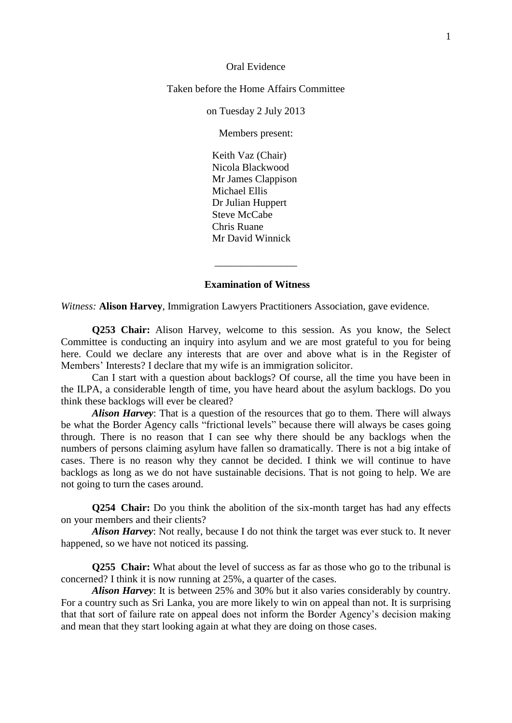Oral Evidence

Taken before the Home Affairs Committee

on Tuesday 2 July 2013

Members present:

Keith Vaz (Chair) Nicola Blackwood Mr James Clappison Michael Ellis Dr Julian Huppert Steve McCabe Chris Ruane Mr David Winnick

#### **Examination of Witness**

\_\_\_\_\_\_\_\_\_\_\_\_\_\_\_\_

*Witness:* **Alison Harvey**, Immigration Lawyers Practitioners Association, gave evidence.

**Q253 Chair:** Alison Harvey, welcome to this session. As you know, the Select Committee is conducting an inquiry into asylum and we are most grateful to you for being here. Could we declare any interests that are over and above what is in the Register of Members' Interests? I declare that my wife is an immigration solicitor.

Can I start with a question about backlogs? Of course, all the time you have been in the ILPA, a considerable length of time, you have heard about the asylum backlogs. Do you think these backlogs will ever be cleared?

*Alison Harvey*: That is a question of the resources that go to them. There will always be what the Border Agency calls "frictional levels" because there will always be cases going through. There is no reason that I can see why there should be any backlogs when the numbers of persons claiming asylum have fallen so dramatically. There is not a big intake of cases. There is no reason why they cannot be decided. I think we will continue to have backlogs as long as we do not have sustainable decisions. That is not going to help. We are not going to turn the cases around.

**Q254 Chair:** Do you think the abolition of the six-month target has had any effects on your members and their clients?

*Alison Harvey*: Not really, because I do not think the target was ever stuck to. It never happened, so we have not noticed its passing.

**Q255 Chair:** What about the level of success as far as those who go to the tribunal is concerned? I think it is now running at 25%, a quarter of the cases.

*Alison Harvey*: It is between 25% and 30% but it also varies considerably by country. For a country such as Sri Lanka, you are more likely to win on appeal than not. It is surprising that that sort of failure rate on appeal does not inform the Border Agency's decision making and mean that they start looking again at what they are doing on those cases.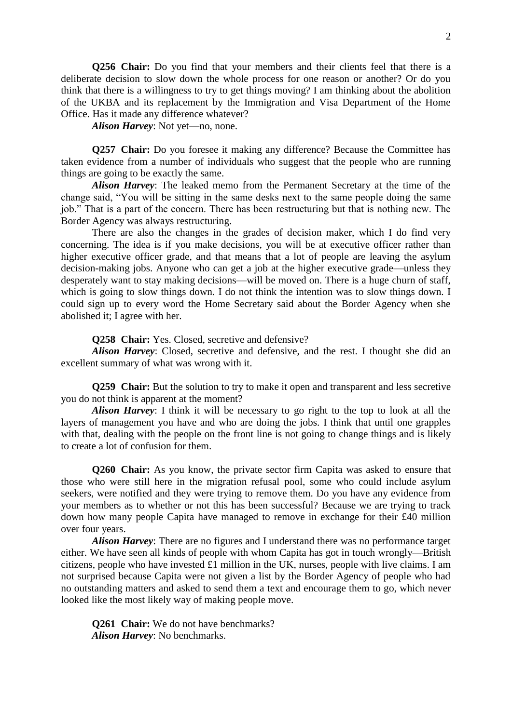**Q256 Chair:** Do you find that your members and their clients feel that there is a deliberate decision to slow down the whole process for one reason or another? Or do you think that there is a willingness to try to get things moving? I am thinking about the abolition of the UKBA and its replacement by the Immigration and Visa Department of the Home Office. Has it made any difference whatever?

*Alison Harvey*: Not yet—no, none.

**Q257 Chair:** Do you foresee it making any difference? Because the Committee has taken evidence from a number of individuals who suggest that the people who are running things are going to be exactly the same.

*Alison Harvey*: The leaked memo from the Permanent Secretary at the time of the change said, "You will be sitting in the same desks next to the same people doing the same job." That is a part of the concern. There has been restructuring but that is nothing new. The Border Agency was always restructuring.

There are also the changes in the grades of decision maker, which I do find very concerning. The idea is if you make decisions, you will be at executive officer rather than higher executive officer grade, and that means that a lot of people are leaving the asylum decision-making jobs. Anyone who can get a job at the higher executive grade—unless they desperately want to stay making decisions—will be moved on. There is a huge churn of staff, which is going to slow things down. I do not think the intention was to slow things down. I could sign up to every word the Home Secretary said about the Border Agency when she abolished it; I agree with her.

**Q258 Chair:** Yes. Closed, secretive and defensive?

*Alison Harvey*: Closed, secretive and defensive, and the rest. I thought she did an excellent summary of what was wrong with it.

**Q259 Chair:** But the solution to try to make it open and transparent and less secretive you do not think is apparent at the moment?

*Alison Harvey*: I think it will be necessary to go right to the top to look at all the layers of management you have and who are doing the jobs. I think that until one grapples with that, dealing with the people on the front line is not going to change things and is likely to create a lot of confusion for them.

**Q260 Chair:** As you know, the private sector firm Capita was asked to ensure that those who were still here in the migration refusal pool, some who could include asylum seekers, were notified and they were trying to remove them. Do you have any evidence from your members as to whether or not this has been successful? Because we are trying to track down how many people Capita have managed to remove in exchange for their £40 million over four years.

*Alison Harvey*: There are no figures and I understand there was no performance target either. We have seen all kinds of people with whom Capita has got in touch wrongly—British citizens, people who have invested £1 million in the UK, nurses, people with live claims. I am not surprised because Capita were not given a list by the Border Agency of people who had no outstanding matters and asked to send them a text and encourage them to go, which never looked like the most likely way of making people move.

**Q261 Chair:** We do not have benchmarks? *Alison Harvey*: No benchmarks.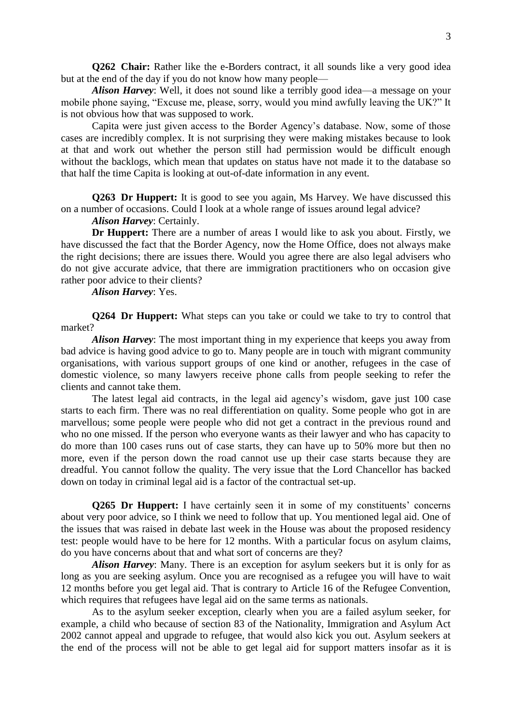**Q262 Chair:** Rather like the e-Borders contract, it all sounds like a very good idea but at the end of the day if you do not know how many people—

*Alison Harvey*: Well, it does not sound like a terribly good idea—a message on your mobile phone saying, "Excuse me, please, sorry, would you mind awfully leaving the UK?" It is not obvious how that was supposed to work.

Capita were just given access to the Border Agency's database. Now, some of those cases are incredibly complex. It is not surprising they were making mistakes because to look at that and work out whether the person still had permission would be difficult enough without the backlogs, which mean that updates on status have not made it to the database so that half the time Capita is looking at out-of-date information in any event.

**Q263 Dr Huppert:** It is good to see you again, Ms Harvey. We have discussed this on a number of occasions. Could I look at a whole range of issues around legal advice?

*Alison Harvey*: Certainly.

**Dr Huppert:** There are a number of areas I would like to ask you about. Firstly, we have discussed the fact that the Border Agency, now the Home Office, does not always make the right decisions; there are issues there. Would you agree there are also legal advisers who do not give accurate advice, that there are immigration practitioners who on occasion give rather poor advice to their clients?

*Alison Harvey*: Yes.

**Q264 Dr Huppert:** What steps can you take or could we take to try to control that market?

*Alison Harvey*: The most important thing in my experience that keeps you away from bad advice is having good advice to go to. Many people are in touch with migrant community organisations, with various support groups of one kind or another, refugees in the case of domestic violence, so many lawyers receive phone calls from people seeking to refer the clients and cannot take them.

The latest legal aid contracts, in the legal aid agency's wisdom, gave just 100 case starts to each firm. There was no real differentiation on quality. Some people who got in are marvellous; some people were people who did not get a contract in the previous round and who no one missed. If the person who everyone wants as their lawyer and who has capacity to do more than 100 cases runs out of case starts, they can have up to 50% more but then no more, even if the person down the road cannot use up their case starts because they are dreadful. You cannot follow the quality. The very issue that the Lord Chancellor has backed down on today in criminal legal aid is a factor of the contractual set-up.

**Q265 Dr Huppert:** I have certainly seen it in some of my constituents' concerns about very poor advice, so I think we need to follow that up. You mentioned legal aid. One of the issues that was raised in debate last week in the House was about the proposed residency test: people would have to be here for 12 months. With a particular focus on asylum claims, do you have concerns about that and what sort of concerns are they?

*Alison Harvey*: Many. There is an exception for asylum seekers but it is only for as long as you are seeking asylum. Once you are recognised as a refugee you will have to wait 12 months before you get legal aid. That is contrary to Article 16 of the Refugee Convention, which requires that refugees have legal aid on the same terms as nationals.

As to the asylum seeker exception, clearly when you are a failed asylum seeker, for example, a child who because of section 83 of the Nationality, Immigration and Asylum Act 2002 cannot appeal and upgrade to refugee, that would also kick you out. Asylum seekers at the end of the process will not be able to get legal aid for support matters insofar as it is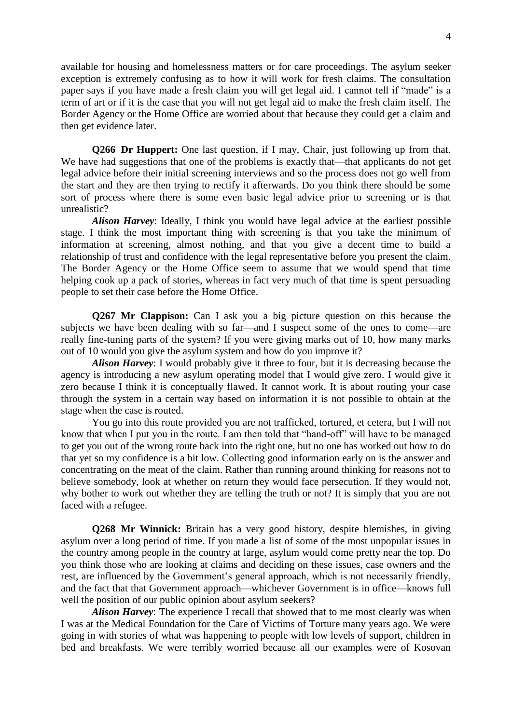available for housing and homelessness matters or for care proceedings. The asylum seeker exception is extremely confusing as to how it will work for fresh claims. The consultation paper says if you have made a fresh claim you will get legal aid. I cannot tell if "made" is a term of art or if it is the case that you will not get legal aid to make the fresh claim itself. The Border Agency or the Home Office are worried about that because they could get a claim and then get evidence later.

**Q266 Dr Huppert:** One last question, if I may, Chair, just following up from that. We have had suggestions that one of the problems is exactly that—that applicants do not get legal advice before their initial screening interviews and so the process does not go well from the start and they are then trying to rectify it afterwards. Do you think there should be some sort of process where there is some even basic legal advice prior to screening or is that unrealistic?

*Alison Harvey*: Ideally, I think you would have legal advice at the earliest possible stage. I think the most important thing with screening is that you take the minimum of information at screening, almost nothing, and that you give a decent time to build a relationship of trust and confidence with the legal representative before you present the claim. The Border Agency or the Home Office seem to assume that we would spend that time helping cook up a pack of stories, whereas in fact very much of that time is spent persuading people to set their case before the Home Office.

**Q267 Mr Clappison:** Can I ask you a big picture question on this because the subjects we have been dealing with so far—and I suspect some of the ones to come—are really fine-tuning parts of the system? If you were giving marks out of 10, how many marks out of 10 would you give the asylum system and how do you improve it?

*Alison Harvey*: I would probably give it three to four, but it is decreasing because the agency is introducing a new asylum operating model that I would give zero. I would give it zero because I think it is conceptually flawed. It cannot work. It is about routing your case through the system in a certain way based on information it is not possible to obtain at the stage when the case is routed.

You go into this route provided you are not trafficked, tortured, et cetera, but I will not know that when I put you in the route. I am then told that "hand-off" will have to be managed to get you out of the wrong route back into the right one, but no one has worked out how to do that yet so my confidence is a bit low. Collecting good information early on is the answer and concentrating on the meat of the claim. Rather than running around thinking for reasons not to believe somebody, look at whether on return they would face persecution. If they would not, why bother to work out whether they are telling the truth or not? It is simply that you are not faced with a refugee.

**Q268 Mr Winnick:** Britain has a very good history, despite blemishes, in giving asylum over a long period of time. If you made a list of some of the most unpopular issues in the country among people in the country at large, asylum would come pretty near the top. Do you think those who are looking at claims and deciding on these issues, case owners and the rest, are influenced by the Government's general approach, which is not necessarily friendly, and the fact that that Government approach—whichever Government is in office—knows full well the position of our public opinion about asylum seekers?

*Alison Harvey*: The experience I recall that showed that to me most clearly was when I was at the Medical Foundation for the Care of Victims of Torture many years ago. We were going in with stories of what was happening to people with low levels of support, children in bed and breakfasts. We were terribly worried because all our examples were of Kosovan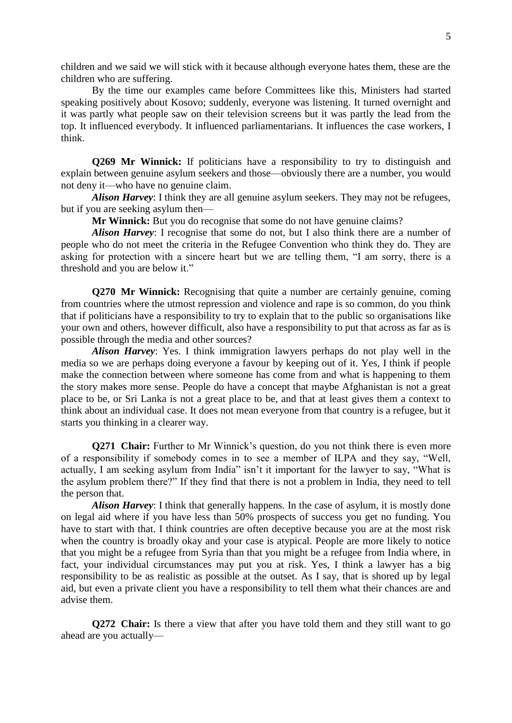children and we said we will stick with it because although everyone hates them, these are the children who are suffering.

By the time our examples came before Committees like this, Ministers had started speaking positively about Kosovo; suddenly, everyone was listening. It turned overnight and it was partly what people saw on their television screens but it was partly the lead from the top. It influenced everybody. It influenced parliamentarians. It influences the case workers, I think.

**Q269 Mr Winnick:** If politicians have a responsibility to try to distinguish and explain between genuine asylum seekers and those—obviously there are a number, you would not deny it—who have no genuine claim.

*Alison Harvey*: I think they are all genuine asylum seekers. They may not be refugees, but if you are seeking asylum then—

**Mr Winnick:** But you do recognise that some do not have genuine claims?

*Alison Harvey*: I recognise that some do not, but I also think there are a number of people who do not meet the criteria in the Refugee Convention who think they do. They are asking for protection with a sincere heart but we are telling them, "I am sorry, there is a threshold and you are below it."

**Q270 Mr Winnick:** Recognising that quite a number are certainly genuine, coming from countries where the utmost repression and violence and rape is so common, do you think that if politicians have a responsibility to try to explain that to the public so organisations like your own and others, however difficult, also have a responsibility to put that across as far as is possible through the media and other sources?

*Alison Harvey*: Yes. I think immigration lawyers perhaps do not play well in the media so we are perhaps doing everyone a favour by keeping out of it. Yes, I think if people make the connection between where someone has come from and what is happening to them the story makes more sense. People do have a concept that maybe Afghanistan is not a great place to be, or Sri Lanka is not a great place to be, and that at least gives them a context to think about an individual case. It does not mean everyone from that country is a refugee, but it starts you thinking in a clearer way.

**Q271 Chair:** Further to Mr Winnick's question, do you not think there is even more of a responsibility if somebody comes in to see a member of ILPA and they say, "Well, actually, I am seeking asylum from India" isn't it important for the lawyer to say, "What is the asylum problem there?" If they find that there is not a problem in India, they need to tell the person that.

*Alison Harvey*: I think that generally happens. In the case of asylum, it is mostly done on legal aid where if you have less than 50% prospects of success you get no funding. You have to start with that. I think countries are often deceptive because you are at the most risk when the country is broadly okay and your case is atypical. People are more likely to notice that you might be a refugee from Syria than that you might be a refugee from India where, in fact, your individual circumstances may put you at risk. Yes, I think a lawyer has a big responsibility to be as realistic as possible at the outset. As I say, that is shored up by legal aid, but even a private client you have a responsibility to tell them what their chances are and advise them.

**Q272 Chair:** Is there a view that after you have told them and they still want to go ahead are you actually—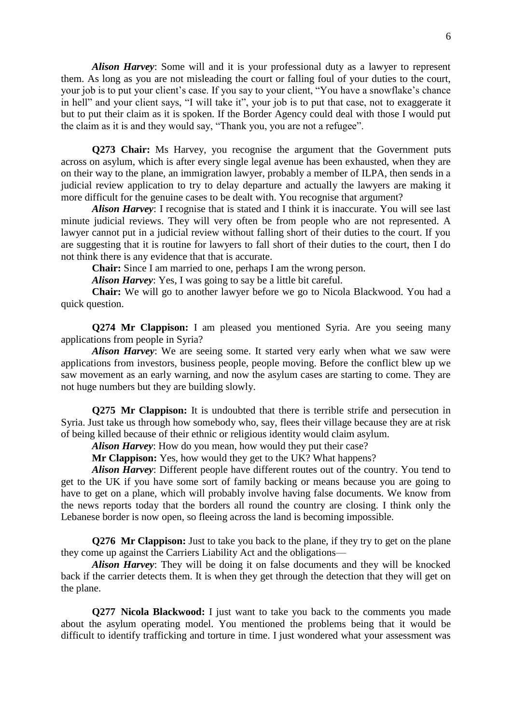*Alison Harvey*: Some will and it is your professional duty as a lawyer to represent them. As long as you are not misleading the court or falling foul of your duties to the court, your job is to put your client's case. If you say to your client, "You have a snowflake's chance in hell" and your client says, "I will take it", your job is to put that case, not to exaggerate it but to put their claim as it is spoken. If the Border Agency could deal with those I would put the claim as it is and they would say, "Thank you, you are not a refugee".

**Q273 Chair:** Ms Harvey, you recognise the argument that the Government puts across on asylum, which is after every single legal avenue has been exhausted, when they are on their way to the plane, an immigration lawyer, probably a member of ILPA, then sends in a judicial review application to try to delay departure and actually the lawyers are making it more difficult for the genuine cases to be dealt with. You recognise that argument?

*Alison Harvey*: I recognise that is stated and I think it is inaccurate. You will see last minute judicial reviews. They will very often be from people who are not represented. A lawyer cannot put in a judicial review without falling short of their duties to the court. If you are suggesting that it is routine for lawyers to fall short of their duties to the court, then I do not think there is any evidence that that is accurate.

**Chair:** Since I am married to one, perhaps I am the wrong person.

*Alison Harvey*: Yes, I was going to say be a little bit careful.

**Chair:** We will go to another lawyer before we go to Nicola Blackwood. You had a quick question.

**Q274 Mr Clappison:** I am pleased you mentioned Syria. Are you seeing many applications from people in Syria?

Alison Harvey: We are seeing some. It started very early when what we saw were applications from investors, business people, people moving. Before the conflict blew up we saw movement as an early warning, and now the asylum cases are starting to come. They are not huge numbers but they are building slowly.

**Q275 Mr Clappison:** It is undoubted that there is terrible strife and persecution in Syria. Just take us through how somebody who, say, flees their village because they are at risk of being killed because of their ethnic or religious identity would claim asylum.

*Alison Harvey*: How do you mean, how would they put their case?

**Mr Clappison:** Yes, how would they get to the UK? What happens?

*Alison Harvey*: Different people have different routes out of the country. You tend to get to the UK if you have some sort of family backing or means because you are going to have to get on a plane, which will probably involve having false documents. We know from the news reports today that the borders all round the country are closing. I think only the Lebanese border is now open, so fleeing across the land is becoming impossible.

**Q276 Mr Clappison:** Just to take you back to the plane, if they try to get on the plane they come up against the Carriers Liability Act and the obligations—

*Alison Harvey*: They will be doing it on false documents and they will be knocked back if the carrier detects them. It is when they get through the detection that they will get on the plane.

**Q277 Nicola Blackwood:** I just want to take you back to the comments you made about the asylum operating model. You mentioned the problems being that it would be difficult to identify trafficking and torture in time. I just wondered what your assessment was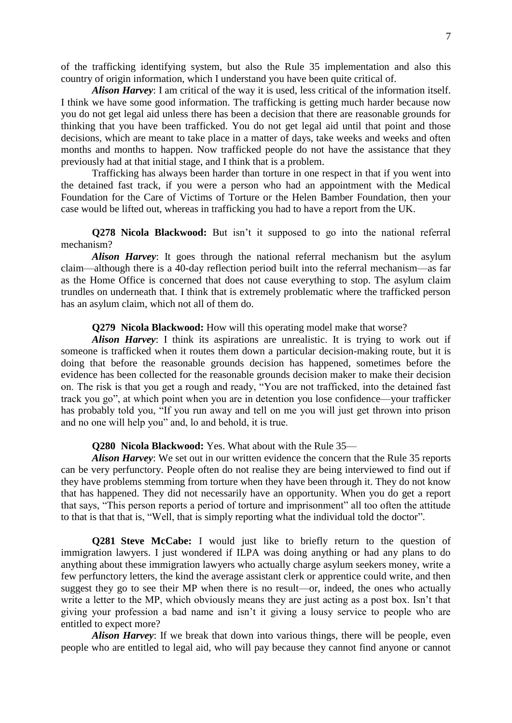of the trafficking identifying system, but also the Rule 35 implementation and also this country of origin information, which I understand you have been quite critical of.

*Alison Harvey*: I am critical of the way it is used, less critical of the information itself. I think we have some good information. The trafficking is getting much harder because now you do not get legal aid unless there has been a decision that there are reasonable grounds for thinking that you have been trafficked. You do not get legal aid until that point and those decisions, which are meant to take place in a matter of days, take weeks and weeks and often months and months to happen. Now trafficked people do not have the assistance that they previously had at that initial stage, and I think that is a problem.

Trafficking has always been harder than torture in one respect in that if you went into the detained fast track, if you were a person who had an appointment with the Medical Foundation for the Care of Victims of Torture or the Helen Bamber Foundation, then your case would be lifted out, whereas in trafficking you had to have a report from the UK.

**Q278 Nicola Blackwood:** But isn't it supposed to go into the national referral mechanism?

*Alison Harvey*: It goes through the national referral mechanism but the asylum claim—although there is a 40-day reflection period built into the referral mechanism—as far as the Home Office is concerned that does not cause everything to stop. The asylum claim trundles on underneath that. I think that is extremely problematic where the trafficked person has an asylum claim, which not all of them do.

**Q279 Nicola Blackwood:** How will this operating model make that worse?

*Alison Harvey*: I think its aspirations are unrealistic. It is trying to work out if someone is trafficked when it routes them down a particular decision-making route, but it is doing that before the reasonable grounds decision has happened, sometimes before the evidence has been collected for the reasonable grounds decision maker to make their decision on. The risk is that you get a rough and ready, "You are not trafficked, into the detained fast track you go", at which point when you are in detention you lose confidence—your trafficker has probably told you, "If you run away and tell on me you will just get thrown into prison and no one will help you" and, lo and behold, it is true.

**Q280 Nicola Blackwood:** Yes. What about with the Rule 35—

*Alison Harvey*: We set out in our written evidence the concern that the Rule 35 reports can be very perfunctory. People often do not realise they are being interviewed to find out if they have problems stemming from torture when they have been through it. They do not know that has happened. They did not necessarily have an opportunity. When you do get a report that says, "This person reports a period of torture and imprisonment" all too often the attitude to that is that that is, "Well, that is simply reporting what the individual told the doctor".

**Q281 Steve McCabe:** I would just like to briefly return to the question of immigration lawyers. I just wondered if ILPA was doing anything or had any plans to do anything about these immigration lawyers who actually charge asylum seekers money, write a few perfunctory letters, the kind the average assistant clerk or apprentice could write, and then suggest they go to see their MP when there is no result—or, indeed, the ones who actually write a letter to the MP, which obviously means they are just acting as a post box. Isn't that giving your profession a bad name and isn't it giving a lousy service to people who are entitled to expect more?

*Alison Harvey*: If we break that down into various things, there will be people, even people who are entitled to legal aid, who will pay because they cannot find anyone or cannot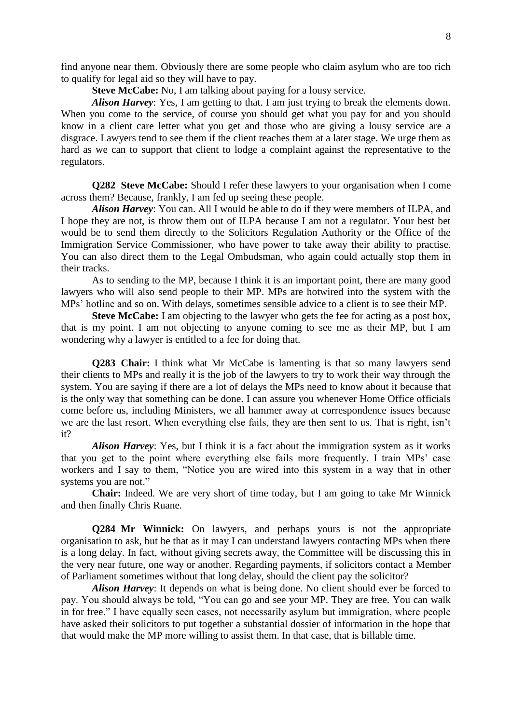find anyone near them. Obviously there are some people who claim asylum who are too rich to qualify for legal aid so they will have to pay.

**Steve McCabe:** No, I am talking about paying for a lousy service.

*Alison Harvey*: Yes, I am getting to that. I am just trying to break the elements down. When you come to the service, of course you should get what you pay for and you should know in a client care letter what you get and those who are giving a lousy service are a disgrace. Lawyers tend to see them if the client reaches them at a later stage. We urge them as hard as we can to support that client to lodge a complaint against the representative to the regulators.

**Q282 Steve McCabe:** Should I refer these lawyers to your organisation when I come across them? Because, frankly, I am fed up seeing these people.

*Alison Harvey*: You can. All I would be able to do if they were members of ILPA, and I hope they are not, is throw them out of ILPA because I am not a regulator. Your best bet would be to send them directly to the Solicitors Regulation Authority or the Office of the Immigration Service Commissioner, who have power to take away their ability to practise. You can also direct them to the Legal Ombudsman, who again could actually stop them in their tracks.

As to sending to the MP, because I think it is an important point, there are many good lawyers who will also send people to their MP. MPs are hotwired into the system with the MPs' hotline and so on. With delays, sometimes sensible advice to a client is to see their MP.

**Steve McCabe:** I am objecting to the lawyer who gets the fee for acting as a post box, that is my point. I am not objecting to anyone coming to see me as their MP, but I am wondering why a lawyer is entitled to a fee for doing that.

**Q283 Chair:** I think what Mr McCabe is lamenting is that so many lawyers send their clients to MPs and really it is the job of the lawyers to try to work their way through the system. You are saying if there are a lot of delays the MPs need to know about it because that is the only way that something can be done. I can assure you whenever Home Office officials come before us, including Ministers, we all hammer away at correspondence issues because we are the last resort. When everything else fails, they are then sent to us. That is right, isn't it?

*Alison Harvey*: Yes, but I think it is a fact about the immigration system as it works that you get to the point where everything else fails more frequently. I train MPs' case workers and I say to them, "Notice you are wired into this system in a way that in other systems you are not."

**Chair:** Indeed. We are very short of time today, but I am going to take Mr Winnick and then finally Chris Ruane.

**Q284 Mr Winnick:** On lawyers, and perhaps yours is not the appropriate organisation to ask, but be that as it may I can understand lawyers contacting MPs when there is a long delay. In fact, without giving secrets away, the Committee will be discussing this in the very near future, one way or another. Regarding payments, if solicitors contact a Member of Parliament sometimes without that long delay, should the client pay the solicitor?

*Alison Harvey*: It depends on what is being done. No client should ever be forced to pay. You should always be told, "You can go and see your MP. They are free. You can walk in for free." I have equally seen cases, not necessarily asylum but immigration, where people have asked their solicitors to put together a substantial dossier of information in the hope that that would make the MP more willing to assist them. In that case, that is billable time.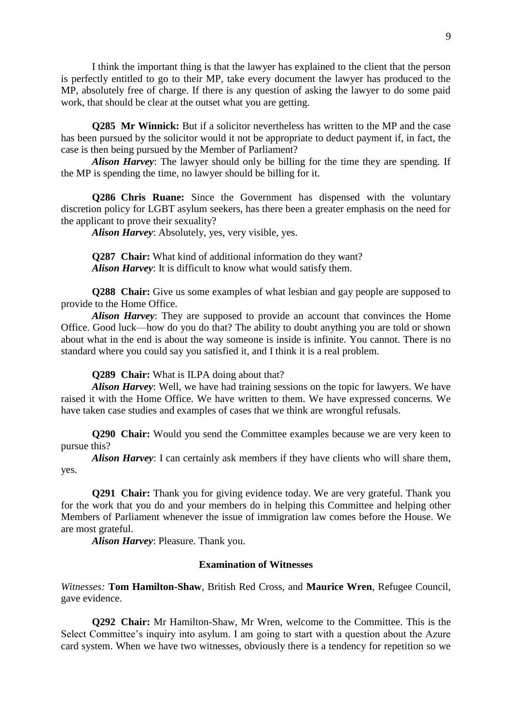I think the important thing is that the lawyer has explained to the client that the person is perfectly entitled to go to their MP, take every document the lawyer has produced to the MP, absolutely free of charge. If there is any question of asking the lawyer to do some paid work, that should be clear at the outset what you are getting.

**Q285 Mr Winnick:** But if a solicitor nevertheless has written to the MP and the case has been pursued by the solicitor would it not be appropriate to deduct payment if, in fact, the case is then being pursued by the Member of Parliament?

*Alison Harvey*: The lawyer should only be billing for the time they are spending. If the MP is spending the time, no lawyer should be billing for it.

**Q286 Chris Ruane:** Since the Government has dispensed with the voluntary discretion policy for LGBT asylum seekers, has there been a greater emphasis on the need for the applicant to prove their sexuality?

*Alison Harvey*: Absolutely, yes, very visible, yes.

**Q287 Chair:** What kind of additional information do they want? *Alison Harvey*: It is difficult to know what would satisfy them.

**Q288 Chair:** Give us some examples of what lesbian and gay people are supposed to provide to the Home Office.

*Alison Harvey*: They are supposed to provide an account that convinces the Home Office. Good luck—how do you do that? The ability to doubt anything you are told or shown about what in the end is about the way someone is inside is infinite. You cannot. There is no standard where you could say you satisfied it, and I think it is a real problem.

**Q289 Chair:** What is ILPA doing about that?

*Alison Harvey*: Well, we have had training sessions on the topic for lawyers. We have raised it with the Home Office. We have written to them. We have expressed concerns. We have taken case studies and examples of cases that we think are wrongful refusals.

**Q290 Chair:** Would you send the Committee examples because we are very keen to pursue this?

*Alison Harvey*: I can certainly ask members if they have clients who will share them, yes.

**Q291 Chair:** Thank you for giving evidence today. We are very grateful. Thank you for the work that you do and your members do in helping this Committee and helping other Members of Parliament whenever the issue of immigration law comes before the House. We are most grateful.

*Alison Harvey*: Pleasure. Thank you.

#### **Examination of Witnesses**

*Witnesses:* **Tom Hamilton-Shaw**, British Red Cross, and **Maurice Wren**, Refugee Council, gave evidence.

**Q292 Chair:** Mr Hamilton-Shaw, Mr Wren, welcome to the Committee. This is the Select Committee's inquiry into asylum. I am going to start with a question about the Azure card system. When we have two witnesses, obviously there is a tendency for repetition so we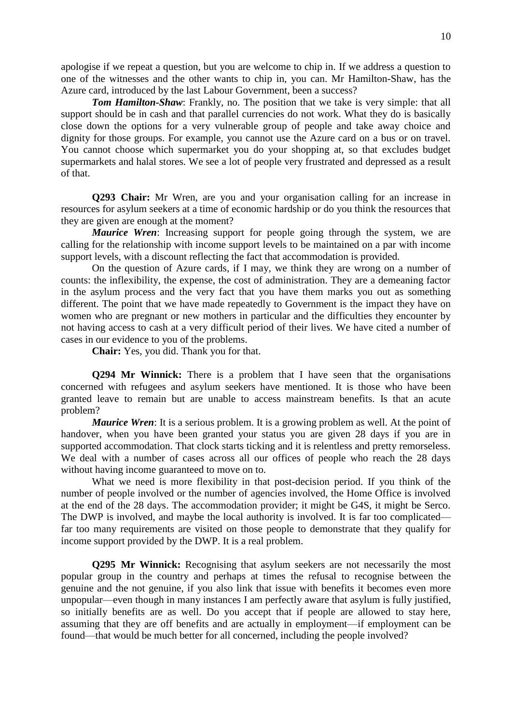apologise if we repeat a question, but you are welcome to chip in. If we address a question to one of the witnesses and the other wants to chip in, you can. Mr Hamilton-Shaw, has the Azure card, introduced by the last Labour Government, been a success?

**Tom Hamilton-Shaw**: Frankly, no. The position that we take is very simple: that all support should be in cash and that parallel currencies do not work. What they do is basically close down the options for a very vulnerable group of people and take away choice and dignity for those groups. For example, you cannot use the Azure card on a bus or on travel. You cannot choose which supermarket you do your shopping at, so that excludes budget supermarkets and halal stores. We see a lot of people very frustrated and depressed as a result of that.

**Q293 Chair:** Mr Wren, are you and your organisation calling for an increase in resources for asylum seekers at a time of economic hardship or do you think the resources that they are given are enough at the moment?

*Maurice Wren*: Increasing support for people going through the system, we are calling for the relationship with income support levels to be maintained on a par with income support levels, with a discount reflecting the fact that accommodation is provided.

On the question of Azure cards, if I may, we think they are wrong on a number of counts: the inflexibility, the expense, the cost of administration. They are a demeaning factor in the asylum process and the very fact that you have them marks you out as something different. The point that we have made repeatedly to Government is the impact they have on women who are pregnant or new mothers in particular and the difficulties they encounter by not having access to cash at a very difficult period of their lives. We have cited a number of cases in our evidence to you of the problems.

**Chair:** Yes, you did. Thank you for that.

**Q294 Mr Winnick:** There is a problem that I have seen that the organisations concerned with refugees and asylum seekers have mentioned. It is those who have been granted leave to remain but are unable to access mainstream benefits. Is that an acute problem?

*Maurice Wren*: It is a serious problem. It is a growing problem as well. At the point of handover, when you have been granted your status you are given 28 days if you are in supported accommodation. That clock starts ticking and it is relentless and pretty remorseless. We deal with a number of cases across all our offices of people who reach the 28 days without having income guaranteed to move on to.

What we need is more flexibility in that post-decision period. If you think of the number of people involved or the number of agencies involved, the Home Office is involved at the end of the 28 days. The accommodation provider; it might be G4S, it might be Serco. The DWP is involved, and maybe the local authority is involved. It is far too complicated far too many requirements are visited on those people to demonstrate that they qualify for income support provided by the DWP. It is a real problem.

**Q295 Mr Winnick:** Recognising that asylum seekers are not necessarily the most popular group in the country and perhaps at times the refusal to recognise between the genuine and the not genuine, if you also link that issue with benefits it becomes even more unpopular—even though in many instances I am perfectly aware that asylum is fully justified, so initially benefits are as well. Do you accept that if people are allowed to stay here, assuming that they are off benefits and are actually in employment—if employment can be found—that would be much better for all concerned, including the people involved?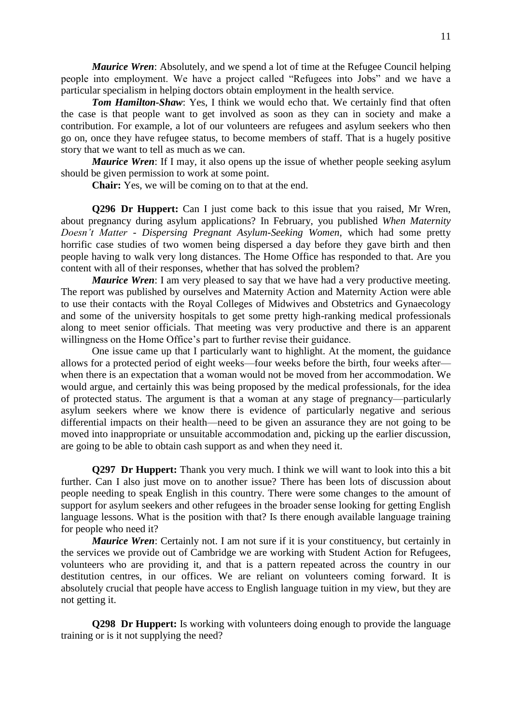*Maurice Wren*: Absolutely, and we spend a lot of time at the Refugee Council helping people into employment. We have a project called "Refugees into Jobs" and we have a particular specialism in helping doctors obtain employment in the health service.

*Tom Hamilton-Shaw*: Yes, I think we would echo that. We certainly find that often the case is that people want to get involved as soon as they can in society and make a contribution. For example, a lot of our volunteers are refugees and asylum seekers who then go on, once they have refugee status, to become members of staff. That is a hugely positive story that we want to tell as much as we can.

*Maurice Wren*: If I may, it also opens up the issue of whether people seeking asylum should be given permission to work at some point.

**Chair:** Yes, we will be coming on to that at the end.

**Q296 Dr Huppert:** Can I just come back to this issue that you raised, Mr Wren, about pregnancy during asylum applications? In February, you published *When Maternity Doesn't Matter - Dispersing Pregnant Asylum-Seeking Women*, which had some pretty horrific case studies of two women being dispersed a day before they gave birth and then people having to walk very long distances. The Home Office has responded to that. Are you content with all of their responses, whether that has solved the problem?

*Maurice Wren*: I am very pleased to say that we have had a very productive meeting. The report was published by ourselves and Maternity Action and Maternity Action were able to use their contacts with the Royal Colleges of Midwives and Obstetrics and Gynaecology and some of the university hospitals to get some pretty high-ranking medical professionals along to meet senior officials. That meeting was very productive and there is an apparent willingness on the Home Office's part to further revise their guidance.

One issue came up that I particularly want to highlight. At the moment, the guidance allows for a protected period of eight weeks—four weeks before the birth, four weeks after when there is an expectation that a woman would not be moved from her accommodation. We would argue, and certainly this was being proposed by the medical professionals, for the idea of protected status. The argument is that a woman at any stage of pregnancy—particularly asylum seekers where we know there is evidence of particularly negative and serious differential impacts on their health—need to be given an assurance they are not going to be moved into inappropriate or unsuitable accommodation and, picking up the earlier discussion, are going to be able to obtain cash support as and when they need it.

**Q297 Dr Huppert:** Thank you very much. I think we will want to look into this a bit further. Can I also just move on to another issue? There has been lots of discussion about people needing to speak English in this country. There were some changes to the amount of support for asylum seekers and other refugees in the broader sense looking for getting English language lessons. What is the position with that? Is there enough available language training for people who need it?

*Maurice Wren*: Certainly not. I am not sure if it is your constituency, but certainly in the services we provide out of Cambridge we are working with Student Action for Refugees, volunteers who are providing it, and that is a pattern repeated across the country in our destitution centres, in our offices. We are reliant on volunteers coming forward. It is absolutely crucial that people have access to English language tuition in my view, but they are not getting it.

**Q298 Dr Huppert:** Is working with volunteers doing enough to provide the language training or is it not supplying the need?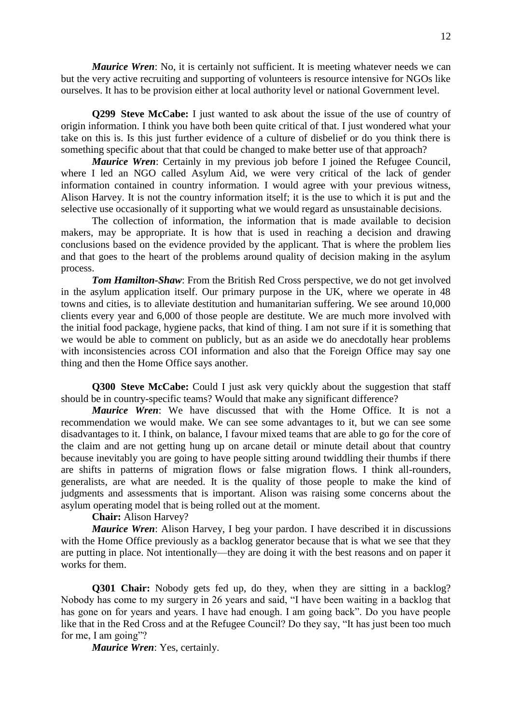*Maurice Wren*: No, it is certainly not sufficient. It is meeting whatever needs we can but the very active recruiting and supporting of volunteers is resource intensive for NGOs like ourselves. It has to be provision either at local authority level or national Government level.

**Q299 Steve McCabe:** I just wanted to ask about the issue of the use of country of origin information. I think you have both been quite critical of that. I just wondered what your take on this is. Is this just further evidence of a culture of disbelief or do you think there is something specific about that that could be changed to make better use of that approach?

*Maurice Wren*: Certainly in my previous job before I joined the Refugee Council, where I led an NGO called Asylum Aid, we were very critical of the lack of gender information contained in country information. I would agree with your previous witness, Alison Harvey. It is not the country information itself; it is the use to which it is put and the selective use occasionally of it supporting what we would regard as unsustainable decisions.

The collection of information, the information that is made available to decision makers, may be appropriate. It is how that is used in reaching a decision and drawing conclusions based on the evidence provided by the applicant. That is where the problem lies and that goes to the heart of the problems around quality of decision making in the asylum process.

**Tom Hamilton-Shaw**: From the British Red Cross perspective, we do not get involved in the asylum application itself. Our primary purpose in the UK, where we operate in 48 towns and cities, is to alleviate destitution and humanitarian suffering. We see around 10,000 clients every year and 6,000 of those people are destitute. We are much more involved with the initial food package, hygiene packs, that kind of thing. I am not sure if it is something that we would be able to comment on publicly, but as an aside we do anecdotally hear problems with inconsistencies across COI information and also that the Foreign Office may say one thing and then the Home Office says another.

**Q300 Steve McCabe:** Could I just ask very quickly about the suggestion that staff should be in country-specific teams? Would that make any significant difference?

*Maurice Wren*: We have discussed that with the Home Office. It is not a recommendation we would make. We can see some advantages to it, but we can see some disadvantages to it. I think, on balance, I favour mixed teams that are able to go for the core of the claim and are not getting hung up on arcane detail or minute detail about that country because inevitably you are going to have people sitting around twiddling their thumbs if there are shifts in patterns of migration flows or false migration flows. I think all-rounders, generalists, are what are needed. It is the quality of those people to make the kind of judgments and assessments that is important. Alison was raising some concerns about the asylum operating model that is being rolled out at the moment.

**Chair:** Alison Harvey?

*Maurice Wren*: Alison Harvey, I beg your pardon. I have described it in discussions with the Home Office previously as a backlog generator because that is what we see that they are putting in place. Not intentionally—they are doing it with the best reasons and on paper it works for them.

**Q301 Chair:** Nobody gets fed up, do they, when they are sitting in a backlog? Nobody has come to my surgery in 26 years and said, "I have been waiting in a backlog that has gone on for years and years. I have had enough. I am going back". Do you have people like that in the Red Cross and at the Refugee Council? Do they say, "It has just been too much for me, I am going"?

*Maurice Wren*: Yes, certainly.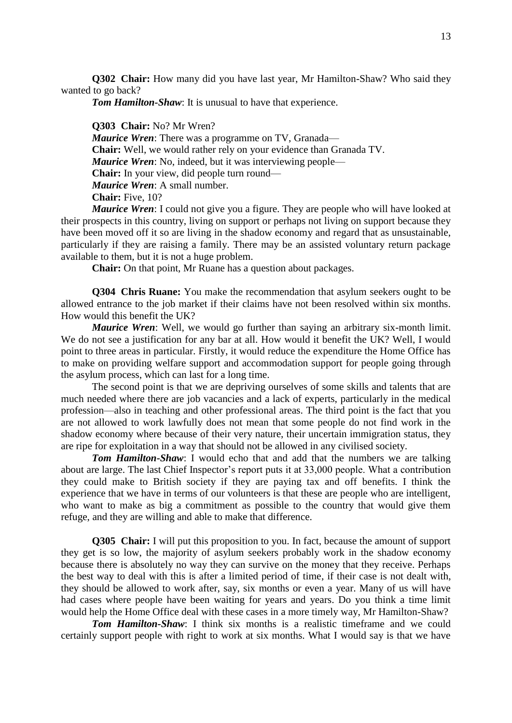**Q302 Chair:** How many did you have last year, Mr Hamilton-Shaw? Who said they wanted to go back?

*Tom Hamilton-Shaw*: It is unusual to have that experience.

**Q303 Chair:** No? Mr Wren? *Maurice Wren*: There was a programme on TV, Granada— **Chair:** Well, we would rather rely on your evidence than Granada TV. *Maurice Wren*: No, indeed, but it was interviewing people— **Chair:** In your view, did people turn round— *Maurice Wren*: A small number. **Chair:** Five, 10?

*Maurice Wren*: I could not give you a figure. They are people who will have looked at their prospects in this country, living on support or perhaps not living on support because they have been moved off it so are living in the shadow economy and regard that as unsustainable, particularly if they are raising a family. There may be an assisted voluntary return package available to them, but it is not a huge problem.

**Chair:** On that point, Mr Ruane has a question about packages.

**Q304 Chris Ruane:** You make the recommendation that asylum seekers ought to be allowed entrance to the job market if their claims have not been resolved within six months. How would this benefit the UK?

*Maurice Wren*: Well, we would go further than saying an arbitrary six-month limit. We do not see a justification for any bar at all. How would it benefit the UK? Well, I would point to three areas in particular. Firstly, it would reduce the expenditure the Home Office has to make on providing welfare support and accommodation support for people going through the asylum process, which can last for a long time.

The second point is that we are depriving ourselves of some skills and talents that are much needed where there are job vacancies and a lack of experts, particularly in the medical profession—also in teaching and other professional areas. The third point is the fact that you are not allowed to work lawfully does not mean that some people do not find work in the shadow economy where because of their very nature, their uncertain immigration status, they are ripe for exploitation in a way that should not be allowed in any civilised society.

*Tom Hamilton-Shaw*: I would echo that and add that the numbers we are talking about are large. The last Chief Inspector's report puts it at 33,000 people. What a contribution they could make to British society if they are paying tax and off benefits. I think the experience that we have in terms of our volunteers is that these are people who are intelligent, who want to make as big a commitment as possible to the country that would give them refuge, and they are willing and able to make that difference.

**Q305 Chair:** I will put this proposition to you. In fact, because the amount of support they get is so low, the majority of asylum seekers probably work in the shadow economy because there is absolutely no way they can survive on the money that they receive. Perhaps the best way to deal with this is after a limited period of time, if their case is not dealt with, they should be allowed to work after, say, six months or even a year. Many of us will have had cases where people have been waiting for years and years. Do you think a time limit would help the Home Office deal with these cases in a more timely way, Mr Hamilton-Shaw?

*Tom Hamilton-Shaw*: I think six months is a realistic timeframe and we could certainly support people with right to work at six months. What I would say is that we have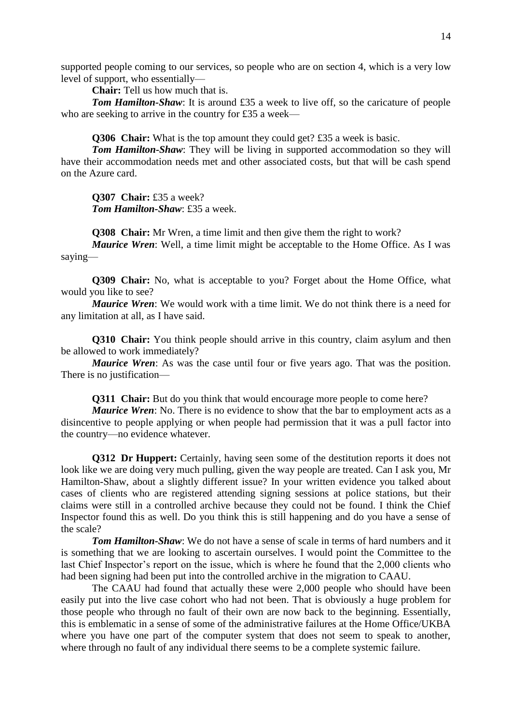supported people coming to our services, so people who are on section 4, which is a very low level of support, who essentially—

**Chair:** Tell us how much that is.

*Tom Hamilton-Shaw*: It is around £35 a week to live off, so the caricature of people who are seeking to arrive in the country for £35 a week—

**Q306 Chair:** What is the top amount they could get? £35 a week is basic.

*Tom Hamilton-Shaw*: They will be living in supported accommodation so they will have their accommodation needs met and other associated costs, but that will be cash spend on the Azure card.

**Q307 Chair:** £35 a week? *Tom Hamilton-Shaw*: £35 a week.

**Q308 Chair:** Mr Wren, a time limit and then give them the right to work?

*Maurice Wren*: Well, a time limit might be acceptable to the Home Office. As I was saying—

**Q309 Chair:** No, what is acceptable to you? Forget about the Home Office, what would you like to see?

*Maurice Wren*: We would work with a time limit. We do not think there is a need for any limitation at all, as I have said.

**Q310 Chair:** You think people should arrive in this country, claim asylum and then be allowed to work immediately?

*Maurice Wren*: As was the case until four or five years ago. That was the position. There is no justification—

**Q311 Chair:** But do you think that would encourage more people to come here?

*Maurice Wren*: No. There is no evidence to show that the bar to employment acts as a disincentive to people applying or when people had permission that it was a pull factor into the country—no evidence whatever.

**Q312 Dr Huppert:** Certainly, having seen some of the destitution reports it does not look like we are doing very much pulling, given the way people are treated. Can I ask you, Mr Hamilton-Shaw, about a slightly different issue? In your written evidence you talked about cases of clients who are registered attending signing sessions at police stations, but their claims were still in a controlled archive because they could not be found. I think the Chief Inspector found this as well. Do you think this is still happening and do you have a sense of the scale?

*Tom Hamilton-Shaw*: We do not have a sense of scale in terms of hard numbers and it is something that we are looking to ascertain ourselves. I would point the Committee to the last Chief Inspector's report on the issue, which is where he found that the 2,000 clients who had been signing had been put into the controlled archive in the migration to CAAU.

The CAAU had found that actually these were 2,000 people who should have been easily put into the live case cohort who had not been. That is obviously a huge problem for those people who through no fault of their own are now back to the beginning. Essentially, this is emblematic in a sense of some of the administrative failures at the Home Office/UKBA where you have one part of the computer system that does not seem to speak to another, where through no fault of any individual there seems to be a complete systemic failure.